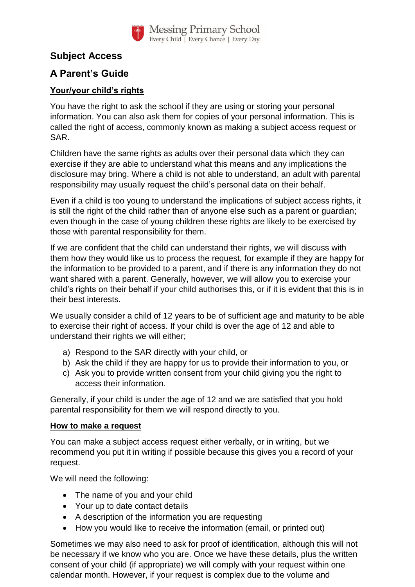

## **Subject Access**

## **A Parent's Guide**

## **Your/your child's rights**

You have the right to ask the school if they are using or storing your personal information. You can also ask them for copies of your personal information. This is called the right of access, commonly known as making a subject access request or SAR.

Children have the same rights as adults over their personal data which they can exercise if they are able to understand what this means and any implications the disclosure may bring. Where a child is not able to understand, an adult with parental responsibility may usually request the child's personal data on their behalf.

Even if a child is too young to understand the implications of subject access rights, it is still the right of the child rather than of anyone else such as a parent or guardian; even though in the case of young children these rights are likely to be exercised by those with parental responsibility for them.

If we are confident that the child can understand their rights, we will discuss with them how they would like us to process the request, for example if they are happy for the information to be provided to a parent, and if there is any information they do not want shared with a parent. Generally, however, we will allow you to exercise your child's rights on their behalf if your child authorises this, or if it is evident that this is in their best interests.

We usually consider a child of 12 years to be of sufficient age and maturity to be able to exercise their right of access. If your child is over the age of 12 and able to understand their rights we will either;

- a) Respond to the SAR directly with your child, or
- b) Ask the child if they are happy for us to provide their information to you, or
- c) Ask you to provide written consent from your child giving you the right to access their information.

Generally, if your child is under the age of 12 and we are satisfied that you hold parental responsibility for them we will respond directly to you.

## **How to make a request**

You can make a subject access request either verbally, or in writing, but we recommend you put it in writing if possible because this gives you a record of your request.

We will need the following:

- The name of you and your child
- Your up to date contact details
- A description of the information you are requesting
- How you would like to receive the information (email, or printed out)

Sometimes we may also need to ask for proof of identification, although this will not be necessary if we know who you are. Once we have these details, plus the written consent of your child (if appropriate) we will comply with your request within one calendar month. However, if your request is complex due to the volume and